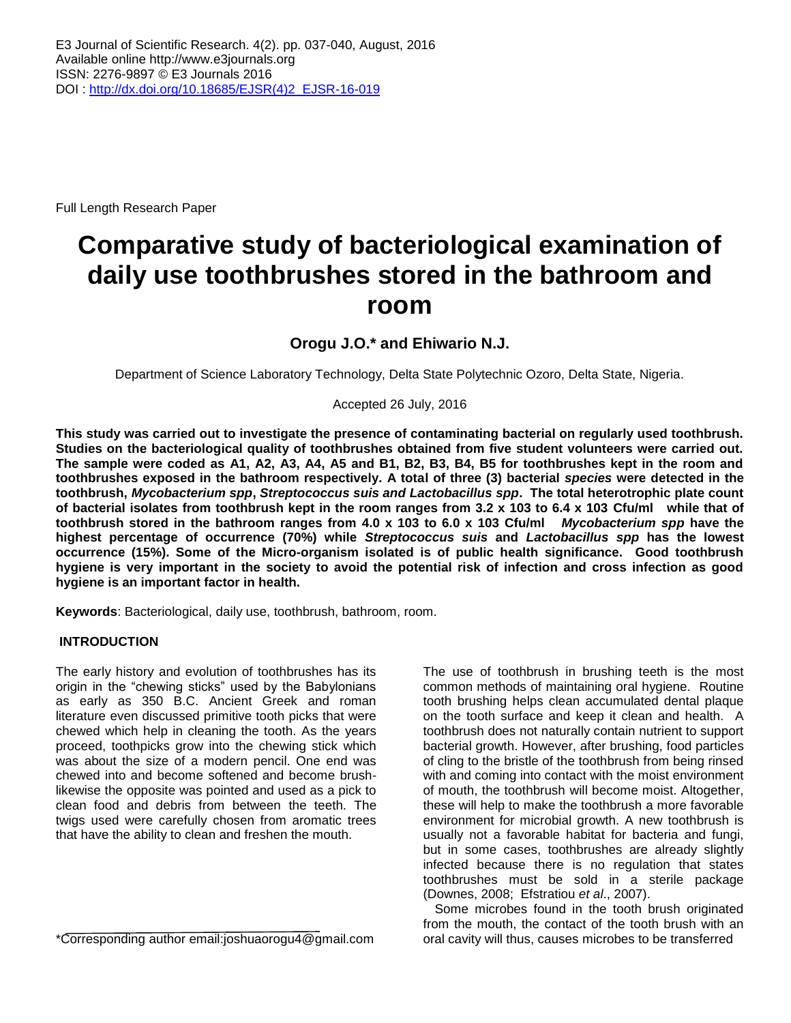Full Length Research Paper

# **Comparative study of bacteriological examination of daily use toothbrushes stored in the bathroom and room**

**Orogu J.O.\* and Ehiwario N.J.**

Department of Science Laboratory Technology, Delta State Polytechnic Ozoro, Delta State, Nigeria.

Accepted 26 July, 2016

**This study was carried out to investigate the presence of contaminating bacterial on regularly used toothbrush. Studies on the bacteriological quality of toothbrushes obtained from five student volunteers were carried out. The sample were coded as A1, A2, A3, A4, A5 and B1, B2, B3, B4, B5 for toothbrushes kept in the room and toothbrushes exposed in the bathroom respectively. A total of three (3) bacterial** *species* **were detected in the toothbrush,** *Mycobacterium spp***,** *Streptococcus suis and Lactobacillus spp***. The total heterotrophic plate count of bacterial isolates from toothbrush kept in the room ranges from 3.2 x 103 to 6.4 x 103 Cfu/ml while that of toothbrush stored in the bathroom ranges from 4.0 x 103 to 6.0 x 103 Cfu/ml** *Mycobacterium spp* **have the highest percentage of occurrence (70%) while** *Streptococcus suis* **and** *Lactobacillus spp* **has the lowest occurrence (15%). Some of the Micro-organism isolated is of public health significance. Good toothbrush hygiene is very important in the society to avoid the potential risk of infection and cross infection as good hygiene is an important factor in health.**

**Keywords**: Bacteriological, daily use, toothbrush, bathroom, room.

# **INTRODUCTION**

The early history and evolution of toothbrushes has its origin in the "chewing sticks" used by the Babylonians as early as 350 B.C. Ancient Greek and roman literature even discussed primitive tooth picks that were chewed which help in cleaning the tooth. As the years proceed, toothpicks grow into the chewing stick which was about the size of a modern pencil. One end was chewed into and become softened and become brushlikewise the opposite was pointed and used as a pick to clean food and debris from between the teeth. The twigs used were carefully chosen from aromatic trees that have the ability to clean and freshen the mouth.

\*Corresponding author email:joshuaorogu4@gmail.com

The use of toothbrush in brushing teeth is the most common methods of maintaining oral hygiene. Routine tooth brushing helps clean accumulated dental plaque on the tooth surface and keep it clean and health. A toothbrush does not naturally contain nutrient to support bacterial growth. However, after brushing, food particles of cling to the bristle of the toothbrush from being rinsed with and coming into contact with the moist environment of mouth, the toothbrush will become moist. Altogether, these will help to make the toothbrush a more favorable environment for microbial growth. A new toothbrush is usually not a favorable habitat for bacteria and fungi, but in some cases, toothbrushes are already slightly infected because there is no regulation that states toothbrushes must be sold in a sterile package (Downes, 2008; Efstratiou *et al*., 2007).

Some microbes found in the tooth brush originated from the mouth, the contact of the tooth brush with an oral cavity will thus, causes microbes to be transferred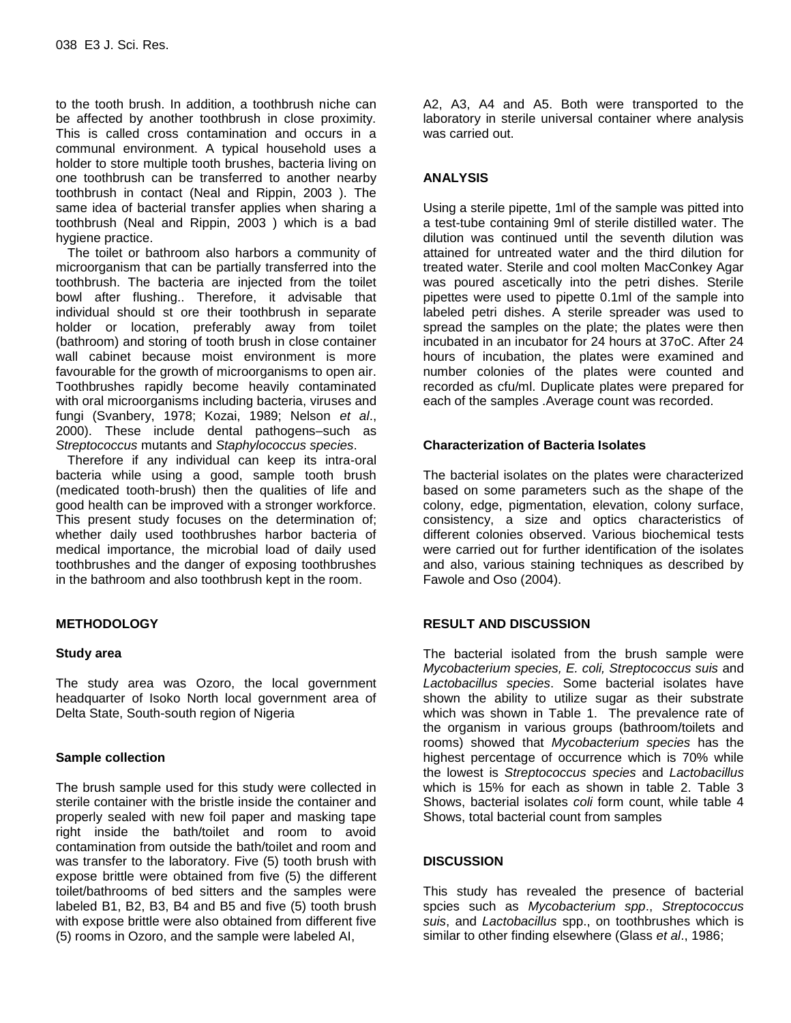to the tooth brush. In addition, a toothbrush niche can be affected by another toothbrush in close proximity. This is called cross contamination and occurs in a communal environment. A typical household uses a holder to store multiple tooth brushes, bacteria living on one toothbrush can be transferred to another nearby toothbrush in contact (Neal and Rippin, 2003 ). The same idea of bacterial transfer applies when sharing a toothbrush (Neal and Rippin, 2003 ) which is a bad hygiene practice.

The toilet or bathroom also harbors a community of microorganism that can be partially transferred into the toothbrush. The bacteria are injected from the toilet bowl after flushing.. Therefore, it advisable that individual should st ore their toothbrush in separate holder or location, preferably away from toilet (bathroom) and storing of tooth brush in close container wall cabinet because moist environment is more favourable for the growth of microorganisms to open air. Toothbrushes rapidly become heavily contaminated with oral microorganisms including bacteria, viruses and fungi (Svanbery, 1978; Kozai, 1989; Nelson *et al*., 2000). These include dental pathogens–such as *Streptococcus* mutants and *Staphylococcus species*.

Therefore if any individual can keep its intra-oral bacteria while using a good, sample tooth brush (medicated tooth-brush) then the qualities of life and good health can be improved with a stronger workforce. This present study focuses on the determination of; whether daily used toothbrushes harbor bacteria of medical importance, the microbial load of daily used toothbrushes and the danger of exposing toothbrushes in the bathroom and also toothbrush kept in the room.

# **METHODOLOGY**

# **Study area**

The study area was Ozoro, the local government headquarter of Isoko North local government area of Delta State, South-south region of Nigeria

# **Sample collection**

The brush sample used for this study were collected in sterile container with the bristle inside the container and properly sealed with new foil paper and masking tape right inside the bath/toilet and room to avoid contamination from outside the bath/toilet and room and was transfer to the laboratory. Five (5) tooth brush with expose brittle were obtained from five (5) the different toilet/bathrooms of bed sitters and the samples were labeled B1, B2, B3, B4 and B5 and five (5) tooth brush with expose brittle were also obtained from different five (5) rooms in Ozoro, and the sample were labeled AI,

A2, A3, A4 and A5. Both were transported to the laboratory in sterile universal container where analysis was carried out.

#### **ANALYSIS**

Using a sterile pipette, 1ml of the sample was pitted into a test-tube containing 9ml of sterile distilled water. The dilution was continued until the seventh dilution was attained for untreated water and the third dilution for treated water. Sterile and cool molten MacConkey Agar was poured ascetically into the petri dishes. Sterile pipettes were used to pipette 0.1ml of the sample into labeled petri dishes. A sterile spreader was used to spread the samples on the plate; the plates were then incubated in an incubator for 24 hours at 37oC. After 24 hours of incubation, the plates were examined and number colonies of the plates were counted and recorded as cfu/ml. Duplicate plates were prepared for each of the samples .Average count was recorded.

#### **Characterization of Bacteria Isolates**

The bacterial isolates on the plates were characterized based on some parameters such as the shape of the colony, edge, pigmentation, elevation, colony surface, consistency, a size and optics characteristics of different colonies observed. Various biochemical tests were carried out for further identification of the isolates and also, various staining techniques as described by Fawole and Oso (2004).

# **RESULT AND DISCUSSION**

The bacterial isolated from the brush sample were *Mycobacterium species, E. coli, Streptococcus suis* and *Lactobacillus species*. Some bacterial isolates have shown the ability to utilize sugar as their substrate which was shown in Table 1. The prevalence rate of the organism in various groups (bathroom/toilets and rooms) showed that *Mycobacterium species* has the highest percentage of occurrence which is 70% while the lowest is *Streptococcus species* and *Lactobacillus* which is 15% for each as shown in table 2. Table 3 Shows, bacterial isolates *coli* form count, while table 4 Shows, total bacterial count from samples

# **DISCUSSION**

This study has revealed the presence of bacterial spcies such as *Mycobacterium spp*., *Streptococcus suis*, and *Lactobacillus* spp., on toothbrushes which is similar to other finding elsewhere (Glass *et al*., 1986;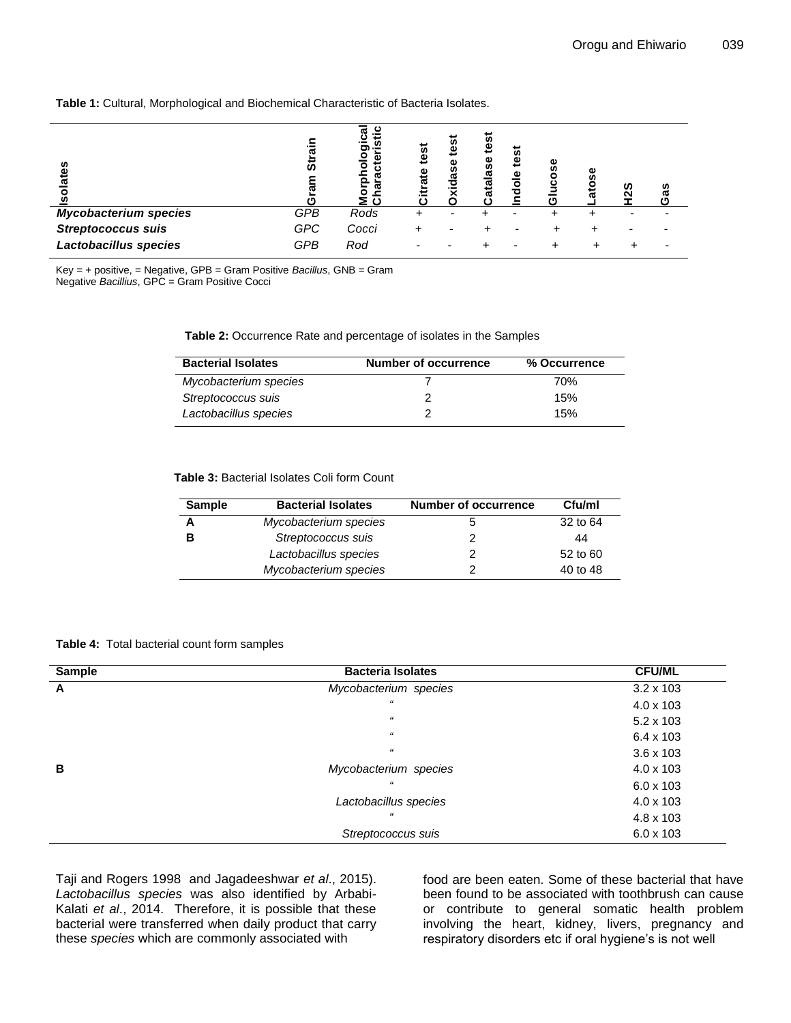#### **Table 1:** Cultural, Morphological and Biochemical Characteristic of Bacteria Isolates.

| n<br>ூ<br>సె                 | ᢐ<br>ທ     | ပ<br>œ<br>n<br>o<br>۵)<br>Ю<br>ω | iest<br>ω | ω<br>α<br>о | ω | ぁ<br>$\ddot{\mathbf{e}}$<br>ω<br>ठ | ω<br>w<br>m |  | æ |
|------------------------------|------------|----------------------------------|-----------|-------------|---|------------------------------------|-------------|--|---|
| <b>Mycobacterium species</b> | GPB        | Rods                             |           |             |   |                                    |             |  |   |
| <b>Streptococcus suis</b>    | <b>GPC</b> | Cocci                            |           |             |   |                                    |             |  |   |
| Lactobacillus species        | <b>GPB</b> | Rod                              |           |             |   |                                    |             |  |   |

Key = + positive, = Negative, GPB = Gram Positive *Bacillus*, GNB = Gram Negative *Bacillius*, GPC = Gram Positive Cocci

**Table 2:** Occurrence Rate and percentage of isolates in the Samples

| <b>Bacterial Isolates</b> | <b>Number of occurrence</b> | % Occurrence |
|---------------------------|-----------------------------|--------------|
| Mycobacterium species     |                             | 70%          |
| Streptococcus suis        |                             | 15%          |
| Lactobacillus species     |                             | 15%          |

**Table 3:** Bacterial Isolates Coli form Count

| <b>Sample</b> | <b>Bacterial Isolates</b> | <b>Number of occurrence</b> | Cfu/ml   |
|---------------|---------------------------|-----------------------------|----------|
|               | Mycobacterium species     | 5                           | 32 to 64 |
| в             | Streptococcus suis        | 2                           | 44       |
|               | Lactobacillus species     | 2                           | 52 to 60 |
|               | Mycobacterium species     |                             | 40 to 48 |

#### **Table 4:** Total bacterial count form samples

| <b>Sample</b> | <b>Bacteria Isolates</b> | <b>CFU/ML</b>    |
|---------------|--------------------------|------------------|
| A             | Mycobacterium species    | $3.2 \times 103$ |
|               | $\epsilon\epsilon$       | $4.0 \times 103$ |
|               | $\mathcal{U}$            | $5.2 \times 103$ |
|               | $\epsilon\epsilon$       | $6.4 \times 103$ |
|               | $\epsilon\epsilon$       | $3.6 \times 103$ |
| в             | Mycobacterium species    | $4.0 \times 103$ |
|               | $\epsilon\epsilon$       | $6.0 \times 103$ |
|               | Lactobacillus species    | $4.0 \times 103$ |
|               | $\epsilon\epsilon$       | 4.8 x 103        |
|               | Streptococcus suis       | $6.0 \times 103$ |

Taji and Rogers 1998 and Jagadeeshwar *et al*., 2015). *Lactobacillus species* was also identified by Arbabi-Kalati *et al*., 2014. Therefore, it is possible that these bacterial were transferred when daily product that carry these *species* which are commonly associated with

food are been eaten. Some of these bacterial that have been found to be associated with toothbrush can cause or contribute to general somatic health problem involving the heart, kidney, livers, pregnancy and respiratory disorders etc if oral hygiene's is not well